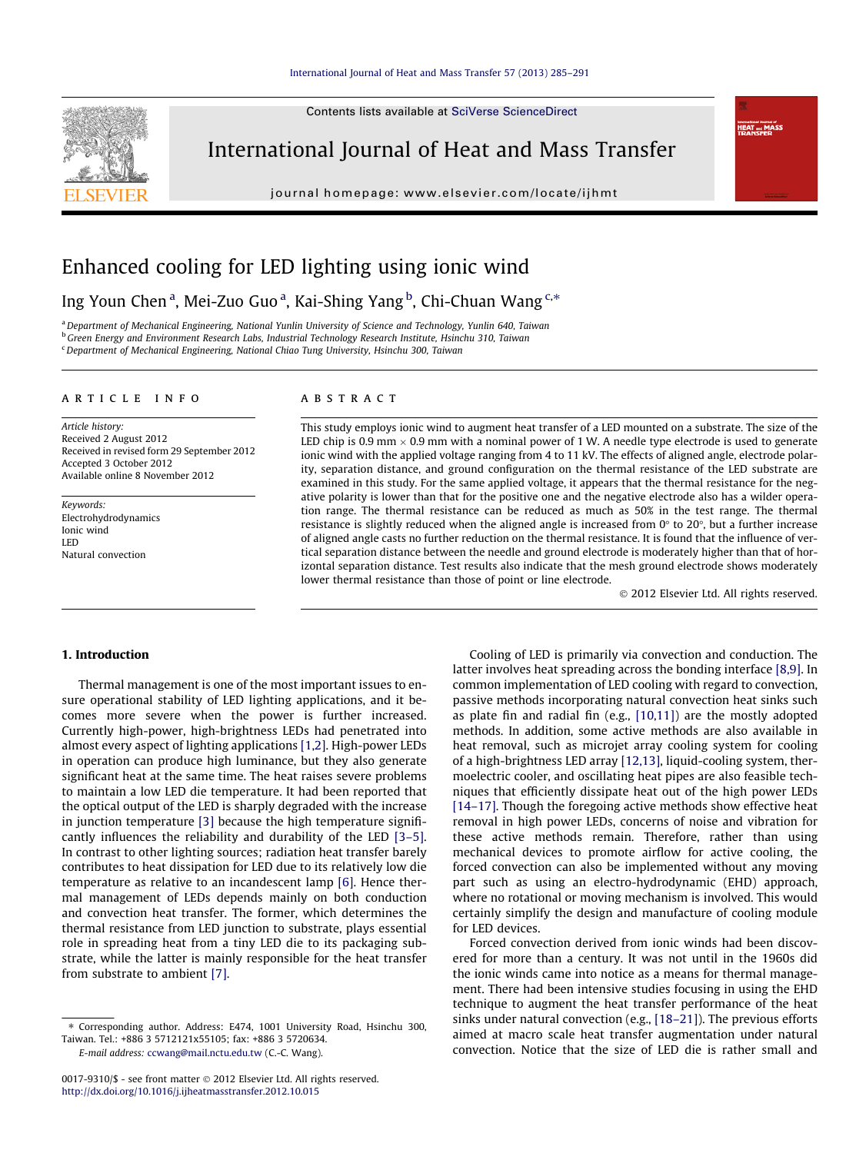Contents lists available at [SciVerse ScienceDirect](http://www.sciencedirect.com/science/journal/00179310)



International Journal of Heat and Mass Transfer

journal homepage: [www.elsevier.com/locate/ijhmt](http://www.elsevier.com/locate/ijhmt)



## Enhanced cooling for LED lighting using ionic wind

Ing Youn Chen<sup>a</sup>, Mei-Zuo Guo<sup>a</sup>, Kai-Shing Yang<sup>b</sup>, Chi-Chuan Wang<sup>c,\*</sup>

a Department of Mechanical Engineering, National Yunlin University of Science and Technology, Yunlin 640, Taiwan <sup>b</sup> Green Energy and Environment Research Labs, Industrial Technology Research Institute, Hsinchu 310, Taiwan <sup>c</sup> Department of Mechanical Engineering, National Chiao Tung University, Hsinchu 300, Taiwan

#### article info

Article history: Received 2 August 2012 Received in revised form 29 September 2012 Accepted 3 October 2012 Available online 8 November 2012

Keywords: Electrohydrodynamics Ionic wind LED Natural convection

#### ABSTRACT

This study employs ionic wind to augment heat transfer of a LED mounted on a substrate. The size of the LED chip is 0.9 mm  $\times$  0.9 mm with a nominal power of 1 W. A needle type electrode is used to generate ionic wind with the applied voltage ranging from 4 to 11 kV. The effects of aligned angle, electrode polarity, separation distance, and ground configuration on the thermal resistance of the LED substrate are examined in this study. For the same applied voltage, it appears that the thermal resistance for the negative polarity is lower than that for the positive one and the negative electrode also has a wilder operation range. The thermal resistance can be reduced as much as 50% in the test range. The thermal resistance is slightly reduced when the aligned angle is increased from  $0^{\circ}$  to 20 $^{\circ}$ , but a further increase of aligned angle casts no further reduction on the thermal resistance. It is found that the influence of vertical separation distance between the needle and ground electrode is moderately higher than that of horizontal separation distance. Test results also indicate that the mesh ground electrode shows moderately lower thermal resistance than those of point or line electrode.

2012 Elsevier Ltd. All rights reserved.

## 1. Introduction

Thermal management is one of the most important issues to ensure operational stability of LED lighting applications, and it becomes more severe when the power is further increased. Currently high-power, high-brightness LEDs had penetrated into almost every aspect of lighting applications [\[1,2\]](#page--1-0). High-power LEDs in operation can produce high luminance, but they also generate significant heat at the same time. The heat raises severe problems to maintain a low LED die temperature. It had been reported that the optical output of the LED is sharply degraded with the increase in junction temperature [\[3\]](#page--1-0) because the high temperature significantly influences the reliability and durability of the LED [\[3–5\].](#page--1-0) In contrast to other lighting sources; radiation heat transfer barely contributes to heat dissipation for LED due to its relatively low die temperature as relative to an incandescent lamp [\[6\]](#page--1-0). Hence thermal management of LEDs depends mainly on both conduction and convection heat transfer. The former, which determines the thermal resistance from LED junction to substrate, plays essential role in spreading heat from a tiny LED die to its packaging substrate, while the latter is mainly responsible for the heat transfer from substrate to ambient [\[7\]](#page--1-0).

E-mail address: [ccwang@mail.nctu.edu.tw](mailto:ccwang@mail.nctu.edu.tw) (C.-C. Wang).

Cooling of LED is primarily via convection and conduction. The latter involves heat spreading across the bonding interface [\[8,9\].](#page--1-0) In common implementation of LED cooling with regard to convection, passive methods incorporating natural convection heat sinks such as plate fin and radial fin (e.g., [\[10,11\]](#page--1-0)) are the mostly adopted methods. In addition, some active methods are also available in heat removal, such as microjet array cooling system for cooling of a high-brightness LED array [\[12,13\]](#page--1-0), liquid-cooling system, thermoelectric cooler, and oscillating heat pipes are also feasible techniques that efficiently dissipate heat out of the high power LEDs [\[14–17\]](#page--1-0). Though the foregoing active methods show effective heat removal in high power LEDs, concerns of noise and vibration for these active methods remain. Therefore, rather than using mechanical devices to promote airflow for active cooling, the forced convection can also be implemented without any moving part such as using an electro-hydrodynamic (EHD) approach, where no rotational or moving mechanism is involved. This would certainly simplify the design and manufacture of cooling module for LED devices.

Forced convection derived from ionic winds had been discovered for more than a century. It was not until in the 1960s did the ionic winds came into notice as a means for thermal management. There had been intensive studies focusing in using the EHD technique to augment the heat transfer performance of the heat sinks under natural convection (e.g., [\[18–21\]](#page--1-0)). The previous efforts aimed at macro scale heat transfer augmentation under natural convection. Notice that the size of LED die is rather small and

<sup>⇑</sup> Corresponding author. Address: E474, 1001 University Road, Hsinchu 300, Taiwan. Tel.: +886 3 5712121x55105; fax: +886 3 5720634.

<sup>0017-9310/\$ -</sup> see front matter © 2012 Elsevier Ltd. All rights reserved. <http://dx.doi.org/10.1016/j.ijheatmasstransfer.2012.10.015>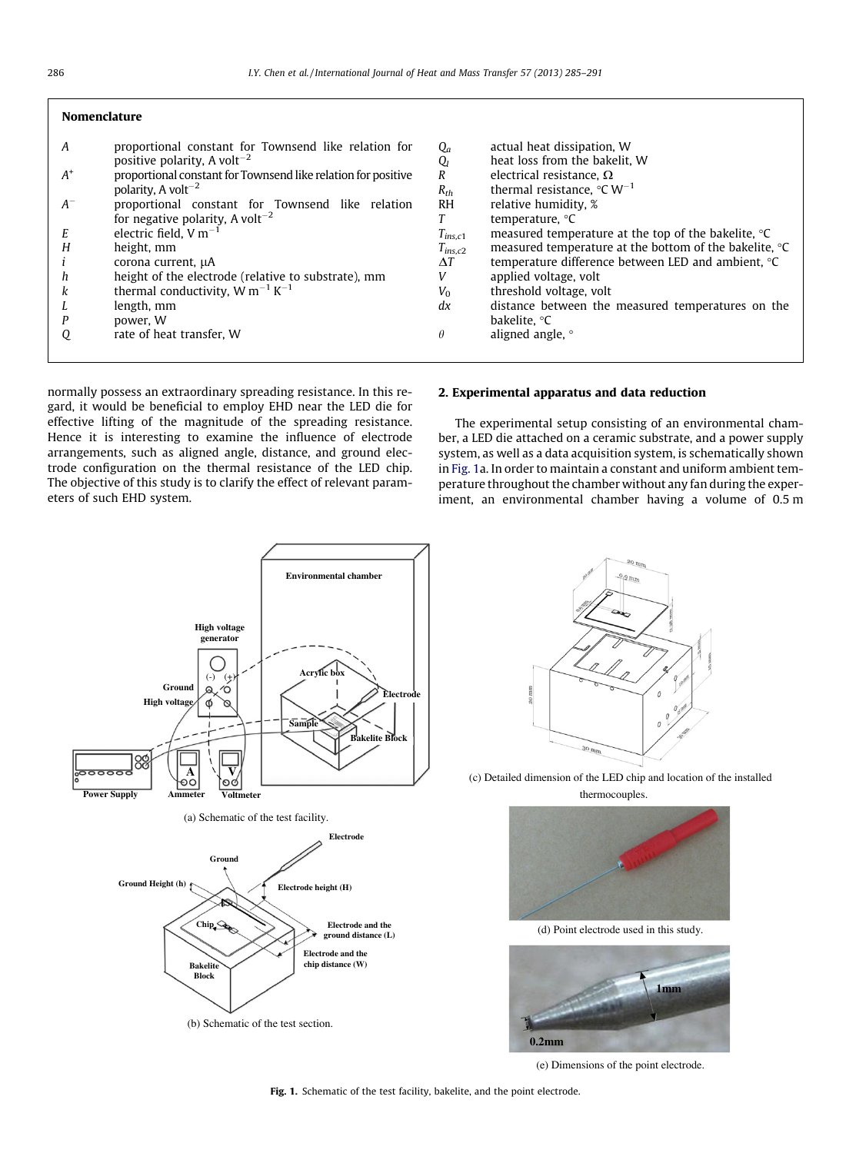| <b>Nomenclature</b> |                                                               |                |                                                              |
|---------------------|---------------------------------------------------------------|----------------|--------------------------------------------------------------|
| A                   | proportional constant for Townsend like relation for          | $Q_a$          | actual heat dissipation, W                                   |
|                     | positive polarity, A volt <sup>-2</sup>                       | Q,             | heat loss from the bakelit. W                                |
| $A^*$               | proportional constant for Townsend like relation for positive | R              | electrical resistance, $\Omega$                              |
|                     | polarity. A volt <sup><math>-2</math></sup>                   | $R_{th}$       | thermal resistance, $\degree$ C W <sup>-1</sup>              |
| $A^{-}$             | proportional constant for Townsend like relation              | R <sub>H</sub> | relative humidity, %                                         |
|                     | for negative polarity, A volt <sup>-2</sup>                   |                | temperature, °C                                              |
| Е                   | electric field, $V m^{-1}$                                    | $T_{ins.c1}$   | measured temperature at the top of the bakelite, $\degree$ C |
| H                   | height, mm                                                    | $T_{ins,c2}$   | measured temperature at the bottom of the bakelite, °C       |
|                     | corona current, µA                                            | $\Delta T$     | temperature difference between LED and ambient, °C           |
| h                   | height of the electrode (relative to substrate), mm           | V              | applied voltage, volt                                        |
| k                   | thermal conductivity, W m <sup>-1</sup> K <sup>-1</sup>       | $V_0$          | threshold voltage, volt                                      |
|                     | length, mm                                                    | dx             | distance between the measured temperatures on the            |
| P                   | power. W                                                      |                | bakelite. °C                                                 |
| Q                   | rate of heat transfer, W                                      | $\theta$       | aligned angle, °                                             |
|                     |                                                               |                |                                                              |

normally possess an extraordinary spreading resistance. In this regard, it would be beneficial to employ EHD near the LED die for effective lifting of the magnitude of the spreading resistance. Hence it is interesting to examine the influence of electrode arrangements, such as aligned angle, distance, and ground electrode configuration on the thermal resistance of the LED chip. The objective of this study is to clarify the effect of relevant parameters of such EHD system.

### 2. Experimental apparatus and data reduction

The experimental setup consisting of an environmental chamber, a LED die attached on a ceramic substrate, and a power supply system, as well as a data acquisition system, is schematically shown in Fig. 1a. In order to maintain a constant and uniform ambient temperature throughout the chamber without any fan during the experiment, an environmental chamber having a volume of 0.5 m







(c) Detailed dimension of the LED chip and location of the installed thermocouples.



(d) Point electrode used in this study.



(e) Dimensions of the point electrode.

Fig. 1. Schematic of the test facility, bakelite, and the point electrode.